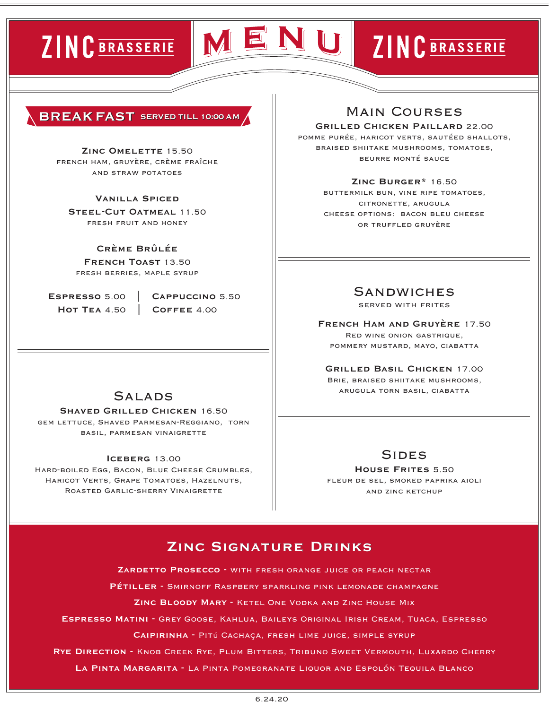# ZINC BRASSERIE



# ZINC BRASSERIE

#### **BREAKFAST SERVED TILL 10:00 AM**

#### **Zinc Omelette** 15.50

french ham, gruyère, crème fraîche and straw potatoes

#### **Vanilla Spiced**

**Steel-Cut Oatmeal** 11.50 fresh fruit and honey

#### **Crème Brûlée**

**French Toast** 13.50 fresh berries, maple syrup

 **Espresso** 5.00 **| Cappuccino** 5.50 **Hot Tea** 4.50 **| Coffee** 4.00

# **SALADS**

**Shaved Grilled Chicken** 16.50 gem lettuce, Shaved Parmesan-Reggiano, torn basil, parmesan vinaigrette

#### **Iceberg** 13.00

Hard-boiled Egg, Bacon, Blue Cheese Crumbles, Haricot Verts, Grape Tomatoes, Hazelnuts, Roasted Garlic-sherry Vinaigrette

# Main Courses

**Grilled Chicken Paillard** 22.00 pomme purée, haricot verts, sautéed shallots, braised shiitake mushrooms, tomatoes, beurre monté sauce

#### **Zinc Burger\*** 16.50

buttermilk bun, vine ripe tomatoes, citronette, arugula cheese options: bacon bleu cheese or truffled gruyère

# **SANDWICHES**

served with frites

**French Ham and Gruyère** 17.50 Red wine onion gastrique, pommery mustard, mayo, ciabatta

**Grilled Basil Chicken** 17.00 Brie, braised shiitake mushrooms, arugula torn basil, ciabatta

## **SIDES**

**House Frites** 5.50 fleur de sel, smoked paprika aioli and zinc ketchup

# **Zinc Signature Drinks**

**Zardetto Prosecco -** with fresh orange juice or peach nectar

**Pétiller -** Smirnoff Raspbery sparkling pink lemonade champagne

**Zinc Bloody Mary -** Ketel One Vodka and Zinc House Mix

**Espresso Matini -** Grey Goose, Kahlua, Baileys Original Irish Cream, Tuaca, Espresso

**Caipirinha -** Pitú Cachaça, fresh lime juice, simple syrup

**Rye Direction -** Knob Creek Rye, Plum Bitters, Tribuno Sweet Vermouth, Luxardo Cherry

**La Pinta Margarita -** La Pinta Pomegranate Liquor and Espolón Tequila Blanco